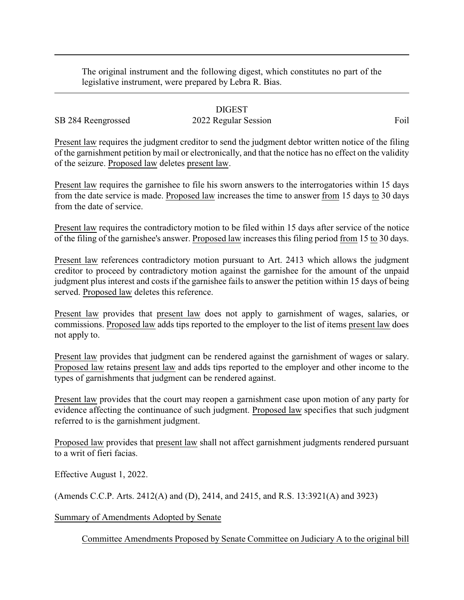The original instrument and the following digest, which constitutes no part of the legislative instrument, were prepared by Lebra R. Bias.

## DIGEST

## SB 284 Reengrossed 2022 Regular Session Foil

Present law requires the judgment creditor to send the judgment debtor written notice of the filing of the garnishment petition bymail or electronically, and that the notice has no effect on the validity of the seizure. Proposed law deletes present law.

Present law requires the garnishee to file his sworn answers to the interrogatories within 15 days from the date service is made. Proposed law increases the time to answer from 15 days to 30 days from the date of service.

Present law requires the contradictory motion to be filed within 15 days after service of the notice of the filing of the garnishee's answer. Proposed law increases this filing period from 15 to 30 days.

Present law references contradictory motion pursuant to Art. 2413 which allows the judgment creditor to proceed by contradictory motion against the garnishee for the amount of the unpaid judgment plus interest and costs if the garnishee fails to answer the petition within 15 days of being served. Proposed law deletes this reference.

Present law provides that present law does not apply to garnishment of wages, salaries, or commissions. Proposed law adds tips reported to the employer to the list of items present law does not apply to.

Present law provides that judgment can be rendered against the garnishment of wages or salary. Proposed law retains present law and adds tips reported to the employer and other income to the types of garnishments that judgment can be rendered against.

Present law provides that the court may reopen a garnishment case upon motion of any party for evidence affecting the continuance of such judgment. Proposed law specifies that such judgment referred to is the garnishment judgment.

Proposed law provides that present law shall not affect garnishment judgments rendered pursuant to a writ of fieri facias.

Effective August 1, 2022.

(Amends C.C.P. Arts. 2412(A) and (D), 2414, and 2415, and R.S. 13:3921(A) and 3923)

Summary of Amendments Adopted by Senate

Committee Amendments Proposed by Senate Committee on Judiciary A to the original bill